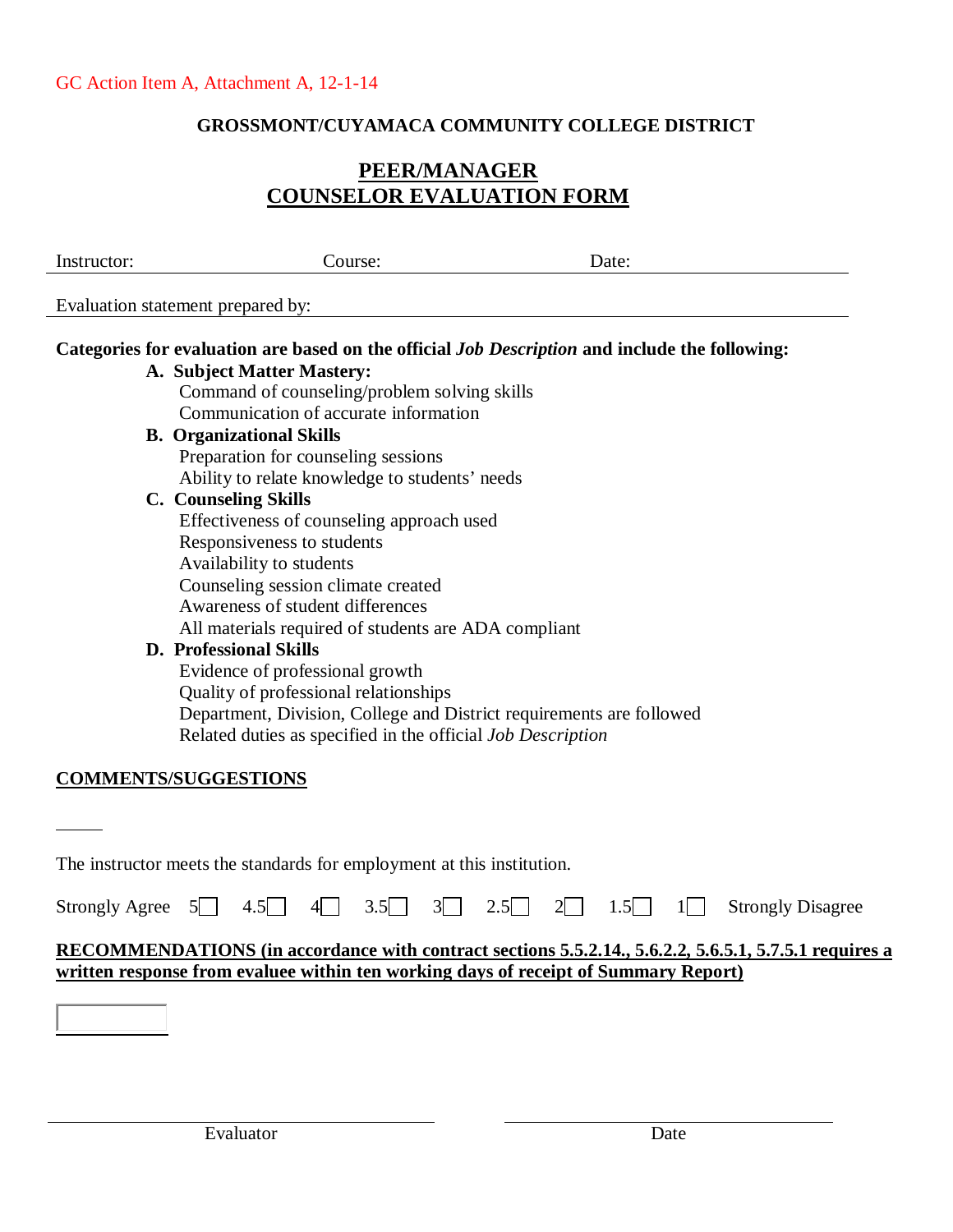### **GROSSMONT/CUYAMACA COMMUNITY COLLEGE DISTRICT**

# **PEER/MANAGER COUNSELOR EVALUATION FORM**

| Instructor: | Course:                                                                                               | Date: |  |
|-------------|-------------------------------------------------------------------------------------------------------|-------|--|
|             | Evaluation statement prepared by:                                                                     |       |  |
|             | Categories for evaluation are based on the official <i>Job Description</i> and include the following: |       |  |
|             | A. Subject Matter Mastery:                                                                            |       |  |
|             | Command of counseling/problem solving skills                                                          |       |  |
|             | Communication of accurate information                                                                 |       |  |
|             | <b>B.</b> Organizational Skills                                                                       |       |  |
|             | Preparation for counseling sessions                                                                   |       |  |
|             | Ability to relate knowledge to students' needs                                                        |       |  |
|             | <b>C.</b> Counseling Skills                                                                           |       |  |
|             | Effectiveness of counseling approach used                                                             |       |  |
|             | Responsiveness to students                                                                            |       |  |
|             | Availability to students                                                                              |       |  |
|             | Counseling session climate created                                                                    |       |  |
|             | Awareness of student differences                                                                      |       |  |
|             | All materials required of students are ADA compliant                                                  |       |  |
|             | <b>D.</b> Professional Skills                                                                         |       |  |
|             | Evidence of professional growth                                                                       |       |  |
|             | Quality of professional relationships                                                                 |       |  |
|             | Department, Division, College and District requirements are followed                                  |       |  |
|             | Related duties as specified in the official Job Description                                           |       |  |
|             | <b>MMENTS/SUGGESTIONS</b>                                                                             |       |  |

The instructor meets the standards for employment at this institution.

|  |  |  |  |  |  |  |  |  |  | Strongly Agree $5$ 4.5 4 3.5 3 2.5 2 1.5 $1$ Strongly Disagree |
|--|--|--|--|--|--|--|--|--|--|----------------------------------------------------------------|
|--|--|--|--|--|--|--|--|--|--|----------------------------------------------------------------|

### **RECOMMENDATIONS (in accordance with contract sections 5.5.2.14., 5.6.2.2, 5.6.5.1, 5.7.5.1 requires a written response from evaluee within ten working days of receipt of Summary Report)**